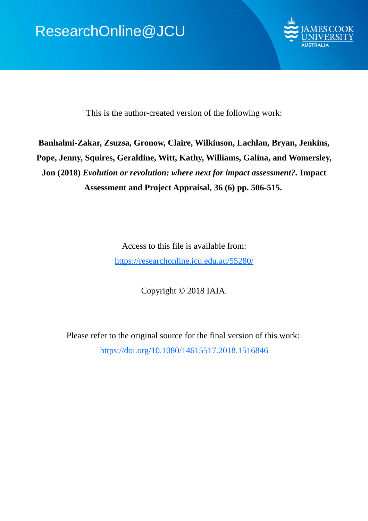

This is the author-created version of the following work:

# **Banhalmi-Zakar, Zsuzsa, Gronow, Claire, Wilkinson, Lachlan, Bryan, Jenkins, Pope, Jenny, Squires, Geraldine, Witt, Kathy, Williams, Galina, and Womersley, Jon (2018)** *Evolution or revolution: where next for impact assessment?.* **Impact Assessment and Project Appraisal, 36 (6) pp. 506-515.**

Access to this file is available from: https://researchonline.jcu.edu.au/55280/

Copyright © 2018 IAIA.

Please refer to the original source for the final version of this work: https://doi.org/10.1080/14615517.2018.1516846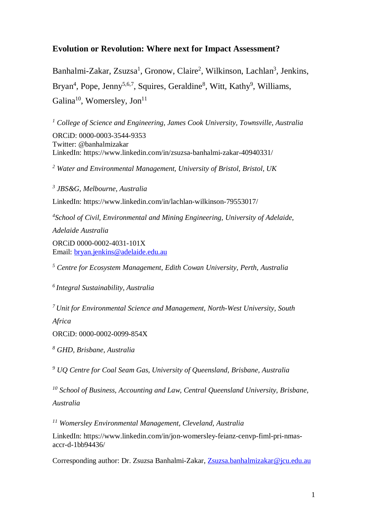# **Evolution or Revolution: Where next for Impact Assessment?**

Banhalmi-Zakar, Zsuzsa<sup>1</sup>, Gronow, Claire<sup>2</sup>, Wilkinson, Lachlan<sup>3</sup>, Jenkins, Bryan<sup>4</sup>, Pope, Jenny<sup>5,6,7</sup>, Squires, Geraldine<sup>8</sup>, Witt, Kathy<sup>9</sup>, Williams, Galina<sup>10</sup>, Womersley, Jon<sup>11</sup>

*<sup>1</sup> College of Science and Engineering, James Cook University, Townsville, Australia* ORCiD: 0000-0003-3544-9353 Twitter: @banhalmizakar LinkedIn: https://www.linkedin.com/in/zsuzsa-banhalmi-zakar-40940331/

*<sup>2</sup> Water and Environmental Management, University of Bristol, Bristol, UK*

*<sup>3</sup> JBS&G, Melbourne, Australia* LinkedIn: https://www.linkedin.com/in/lachlan-wilkinson-79553017/ *4 School of Civil, Environmental and Mining Engineering, University of Adelaide, Adelaide Australia* ORCiD 0000-0002-4031-101X Email: [bryan.jenkins@adelaide.edu.au](mailto:bryan.jenkins@adelaide.edu.au)

*<sup>5</sup> Centre for Ecosystem Management, Edith Cowan University, Perth, Australia*

*6 Integral Sustainability, Australia*

*7 Unit for Environmental Science and Management, North-West University, South Africa*

ORCiD: 0000-0002-0099-854X

*<sup>8</sup> GHD, Brisbane, Australia* 

*<sup>9</sup> UQ Centre for Coal Seam Gas, University of Queensland, Brisbane, Australia*

*<sup>10</sup> School of Business, Accounting and Law, Central Queensland University, Brisbane, Australia*

*<sup>11</sup> Womersley Environmental Management, Cleveland, Australia* 

LinkedIn: https://www.linkedin.com/in/jon-womersley-feianz-cenvp-fiml-pri-nmasaccr-d-1bb94436/

Corresponding author: Dr. Zsuzsa Banhalmi-Zakar, [Zsuzsa.banhalmizakar@jcu.edu.au](mailto:Zsuzsa.banhalmizakar@jcu.edu.au)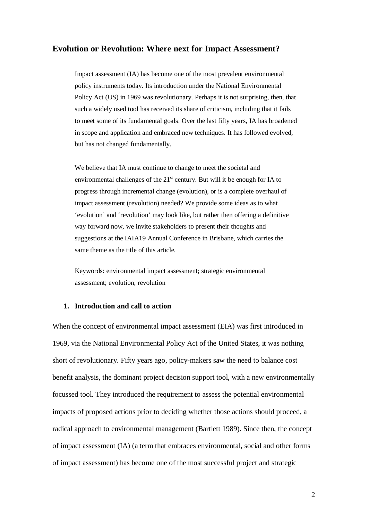# **Evolution or Revolution: Where next for Impact Assessment?**

Impact assessment (IA) has become one of the most prevalent environmental policy instruments today. Its introduction under the National Environmental Policy Act (US) in 1969 was revolutionary. Perhaps it is not surprising, then, that such a widely used tool has received its share of criticism, including that it fails to meet some of its fundamental goals. Over the last fifty years, IA has broadened in scope and application and embraced new techniques. It has followed evolved, but has not changed fundamentally.

We believe that IA must continue to change to meet the societal and environmental challenges of the  $21<sup>st</sup>$  century. But will it be enough for IA to progress through incremental change (evolution), or is a complete overhaul of impact assessment (revolution) needed? We provide some ideas as to what 'evolution' and 'revolution' may look like, but rather then offering a definitive way forward now, we invite stakeholders to present their thoughts and suggestions at the IAIA19 Annual Conference in Brisbane, which carries the same theme as the title of this article.

Keywords: environmental impact assessment; strategic environmental assessment; evolution, revolution

# **1. Introduction and call to action**

When the concept of environmental impact assessment (EIA) was first introduced in 1969, via the National Environmental Policy Act of the United States, it was nothing short of revolutionary. Fifty years ago, policy-makers saw the need to balance cost benefit analysis, the dominant project decision support tool, with a new environmentally focussed tool. They introduced the requirement to assess the potential environmental impacts of proposed actions prior to deciding whether those actions should proceed, a radical approach to environmental management (Bartlett 1989). Since then, the concept of impact assessment (IA) (a term that embraces environmental, social and other forms of impact assessment) has become one of the most successful project and strategic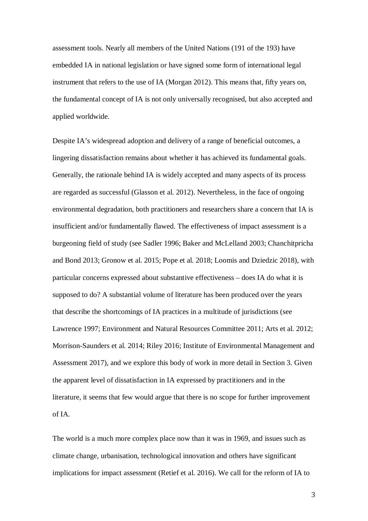assessment tools. Nearly all members of the United Nations (191 of the 193) have embedded IA in national legislation or have signed some form of international legal instrument that refers to the use of IA (Morgan 2012). This means that, fifty years on, the fundamental concept of IA is not only universally recognised, but also accepted and applied worldwide.

Despite IA's widespread adoption and delivery of a range of beneficial outcomes, a lingering dissatisfaction remains about whether it has achieved its fundamental goals. Generally, the rationale behind IA is widely accepted and many aspects of its process are regarded as successful (Glasson et al. 2012). Nevertheless, in the face of ongoing environmental degradation, both practitioners and researchers share a concern that IA is insufficient and/or fundamentally flawed. The effectiveness of impact assessment is a burgeoning field of study (see Sadler 1996; Baker and McLelland 2003; Chanchitpricha and Bond 2013; Gronow et al. 2015; Pope et al. 2018; Loomis and Dziedzic 2018), with particular concerns expressed about substantive effectiveness – does IA do what it is supposed to do? A substantial volume of literature has been produced over the years that describe the shortcomings of IA practices in a multitude of jurisdictions (see Lawrence 1997; Environment and Natural Resources Committee 2011; Arts et al. 2012; Morrison-Saunders et al. 2014; Riley 2016; Institute of Environmental Management and Assessment 2017), and we explore this body of work in more detail in Section 3. Given the apparent level of dissatisfaction in IA expressed by practitioners and in the literature, it seems that few would argue that there is no scope for further improvement of IA.

The world is a much more complex place now than it was in 1969, and issues such as climate change, urbanisation, technological innovation and others have significant implications for impact assessment (Retief et al. 2016). We call for the reform of IA to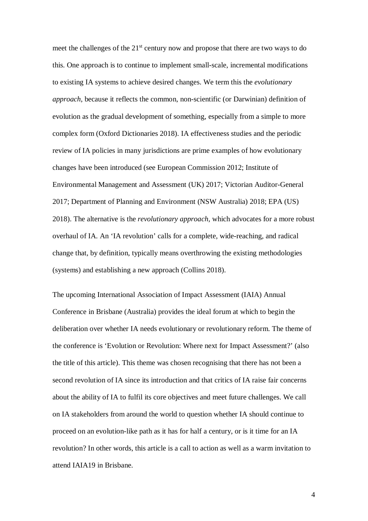meet the challenges of the  $21<sup>st</sup>$  century now and propose that there are two ways to do this. One approach is to continue to implement small-scale, incremental modifications to existing IA systems to achieve desired changes. We term this the *evolutionary approach*, because it reflects the common, non-scientific (or Darwinian) definition of evolution as the gradual development of something, especially from a simple to more complex form (Oxford Dictionaries 2018). IA effectiveness studies and the periodic review of IA policies in many jurisdictions are prime examples of how evolutionary changes have been introduced (see European Commission 2012; Institute of Environmental Management and Assessment (UK) 2017; Victorian Auditor-General 2017; Department of Planning and Environment (NSW Australia) 2018; EPA (US) 2018). The alternative is the *revolutionary approach*, which advocates for a more robust overhaul of IA. An 'IA revolution' calls for a complete, wide-reaching, and radical change that, by definition, typically means overthrowing the existing methodologies (systems) and establishing a new approach (Collins 2018).

The upcoming International Association of Impact Assessment (IAIA) Annual Conference in Brisbane (Australia) provides the ideal forum at which to begin the deliberation over whether IA needs evolutionary or revolutionary reform. The theme of the conference is 'Evolution or Revolution: Where next for Impact Assessment?' (also the title of this article). This theme was chosen recognising that there has not been a second revolution of IA since its introduction and that critics of IA raise fair concerns about the ability of IA to fulfil its core objectives and meet future challenges. We call on IA stakeholders from around the world to question whether IA should continue to proceed on an evolution-like path as it has for half a century, or is it time for an IA revolution? In other words, this article is a call to action as well as a warm invitation to attend IAIA19 in Brisbane.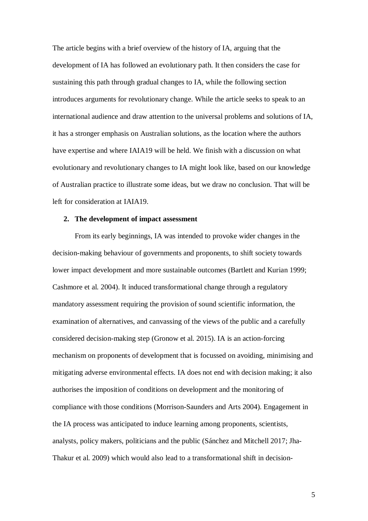The article begins with a brief overview of the history of IA, arguing that the development of IA has followed an evolutionary path. It then considers the case for sustaining this path through gradual changes to IA, while the following section introduces arguments for revolutionary change. While the article seeks to speak to an international audience and draw attention to the universal problems and solutions of IA, it has a stronger emphasis on Australian solutions, as the location where the authors have expertise and where IAIA19 will be held. We finish with a discussion on what evolutionary and revolutionary changes to IA might look like, based on our knowledge of Australian practice to illustrate some ideas, but we draw no conclusion. That will be left for consideration at IAIA19.

#### **2. The development of impact assessment**

From its early beginnings, IA was intended to provoke wider changes in the decision-making behaviour of governments and proponents, to shift society towards lower impact development and more sustainable outcomes (Bartlett and Kurian 1999; Cashmore et al. 2004). It induced transformational change through a regulatory mandatory assessment requiring the provision of sound scientific information, the examination of alternatives, and canvassing of the views of the public and a carefully considered decision-making step (Gronow et al. 2015). IA is an action-forcing mechanism on proponents of development that is focussed on avoiding, minimising and mitigating adverse environmental effects. IA does not end with decision making; it also authorises the imposition of conditions on development and the monitoring of compliance with those conditions (Morrison-Saunders and Arts 2004). Engagement in the IA process was anticipated to induce learning among proponents, scientists, analysts, policy makers, politicians and the public (Sánchez and Mitchell 2017; Jha-Thakur et al. 2009) which would also lead to a transformational shift in decision-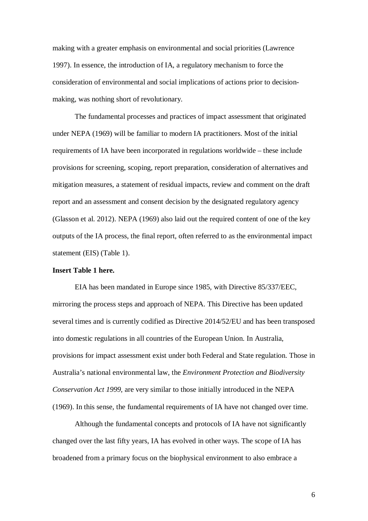making with a greater emphasis on environmental and social priorities (Lawrence 1997). In essence, the introduction of IA, a regulatory mechanism to force the consideration of environmental and social implications of actions prior to decisionmaking, was nothing short of revolutionary.

The fundamental processes and practices of impact assessment that originated under NEPA (1969) will be familiar to modern IA practitioners. Most of the initial requirements of IA have been incorporated in regulations worldwide – these include provisions for screening, scoping, report preparation, consideration of alternatives and mitigation measures, a statement of residual impacts, review and comment on the draft report and an assessment and consent decision by the designated regulatory agency (Glasson et al. 2012). NEPA (1969) also laid out the required content of one of the key outputs of the IA process, the final report, often referred to as the environmental impact statement (EIS) (Table 1).

# **Insert Table 1 here.**

EIA has been mandated in Europe since 1985, with Directive 85/337/EEC, mirroring the process steps and approach of NEPA. This Directive has been updated several times and is currently codified as Directive 2014/52/EU and has been transposed into domestic regulations in all countries of the European Union. In Australia, provisions for impact assessment exist under both Federal and State regulation. Those in Australia's national environmental law, the *Environment Protection and Biodiversity Conservation Act 1999,* are very similar to those initially introduced in the NEPA (1969). In this sense, the fundamental requirements of IA have not changed over time.

Although the fundamental concepts and protocols of IA have not significantly changed over the last fifty years, IA has evolved in other ways. The scope of IA has broadened from a primary focus on the biophysical environment to also embrace a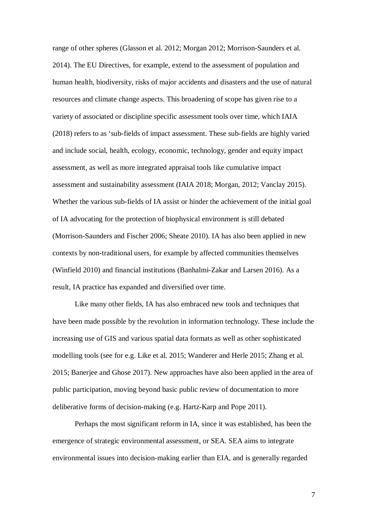range of other spheres (Glasson et al. 2012; Morgan 2012; Morrison-Saunders et al. 2014). The EU Directives, for example, extend to the assessment of population and human health, biodiversity, risks of major accidents and disasters and the use of natural resources and climate change aspects. This broadening of scope has given rise to a variety of associated or discipline specific assessment tools over time, which IAIA (2018) refers to as 'sub-fields of impact assessment. These sub-fields are highly varied and include social, health, ecology, economic, technology, gender and equity impact assessment, as well as more integrated appraisal tools like cumulative impact assessment and sustainability assessment (IAIA 2018; Morgan, 2012; Vanclay 2015). Whether the various sub-fields of IA assist or hinder the achievement of the initial goal of IA advocating for the protection of biophysical environment is still debated (Morrison-Saunders and Fischer 2006; Sheate 2010). IA has also been applied in new contexts by non-traditional users, for example by affected communities themselves (Winfield 2010) and financial institutions (Banhalmi-Zakar and Larsen 2016). As a result, IA practice has expanded and diversified over time.

Like many other fields, IA has also embraced new tools and techniques that have been made possible by the revolution in information technology. These include the increasing use of GIS and various spatial data formats as well as other sophisticated modelling tools (see for e.g. Like et al. 2015; Wanderer and Herle 2015; Zhang et al. 2015; Banerjee and Ghose 2017). New approaches have also been applied in the area of public participation, moving beyond basic public review of documentation to more deliberative forms of decision-making (e.g. Hartz-Karp and Pope 2011).

Perhaps the most significant reform in IA, since it was established, has been the emergence of strategic environmental assessment, or SEA. SEA aims to integrate environmental issues into decision-making earlier than EIA, and is generally regarded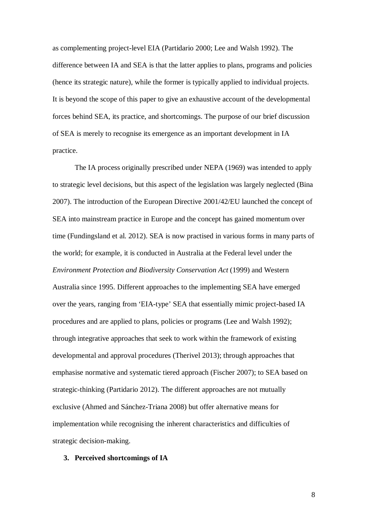as complementing project-level EIA (Partidario 2000; Lee and Walsh 1992). The difference between IA and SEA is that the latter applies to plans, programs and policies (hence its strategic nature), while the former is typically applied to individual projects. It is beyond the scope of this paper to give an exhaustive account of the developmental forces behind SEA, its practice, and shortcomings. The purpose of our brief discussion of SEA is merely to recognise its emergence as an important development in IA practice.

The IA process originally prescribed under NEPA (1969) was intended to apply to strategic level decisions, but this aspect of the legislation was largely neglected (Bina 2007). The introduction of the European Directive 2001/42/EU launched the concept of SEA into mainstream practice in Europe and the concept has gained momentum over time (Fundingsland et al. 2012). SEA is now practised in various forms in many parts of the world; for example, it is conducted in Australia at the Federal level under the *Environment Protection and Biodiversity Conservation Act* (1999) and Western Australia since 1995. Different approaches to the implementing SEA have emerged over the years, ranging from 'EIA-type' SEA that essentially mimic project-based IA procedures and are applied to plans, policies or programs (Lee and Walsh 1992); through integrative approaches that seek to work within the framework of existing developmental and approval procedures (Therivel 2013); through approaches that emphasise normative and systematic tiered approach (Fischer 2007); to SEA based on strategic-thinking (Partidario 2012). The different approaches are not mutually exclusive (Ahmed and Sánchez-Triana 2008) but offer alternative means for implementation while recognising the inherent characteristics and difficulties of strategic decision-making.

#### **3. Perceived shortcomings of IA**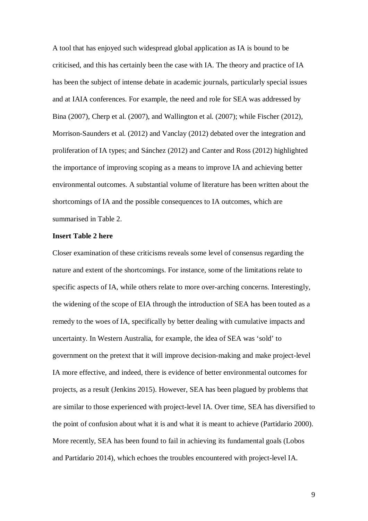A tool that has enjoyed such widespread global application as IA is bound to be criticised, and this has certainly been the case with IA. The theory and practice of IA has been the subject of intense debate in academic journals, particularly special issues and at IAIA conferences. For example, the need and role for SEA was addressed by Bina (2007), Cherp et al. (2007), and Wallington et al. (2007); while Fischer (2012), Morrison-Saunders et al. (2012) and Vanclay (2012) debated over the integration and proliferation of IA types; and Sánchez (2012) and Canter and Ross (2012) highlighted the importance of improving scoping as a means to improve IA and achieving better environmental outcomes. A substantial volume of literature has been written about the shortcomings of IA and the possible consequences to IA outcomes, which are summarised in Table 2.

# **Insert Table 2 here**

Closer examination of these criticisms reveals some level of consensus regarding the nature and extent of the shortcomings. For instance, some of the limitations relate to specific aspects of IA, while others relate to more over-arching concerns. Interestingly, the widening of the scope of EIA through the introduction of SEA has been touted as a remedy to the woes of IA, specifically by better dealing with cumulative impacts and uncertainty. In Western Australia, for example, the idea of SEA was 'sold' to government on the pretext that it will improve decision-making and make project-level IA more effective, and indeed, there is evidence of better environmental outcomes for projects, as a result (Jenkins 2015). However, SEA has been plagued by problems that are similar to those experienced with project-level IA. Over time, SEA has diversified to the point of confusion about what it is and what it is meant to achieve (Partidario 2000). More recently, SEA has been found to fail in achieving its fundamental goals (Lobos and Partidario 2014), which echoes the troubles encountered with project-level IA.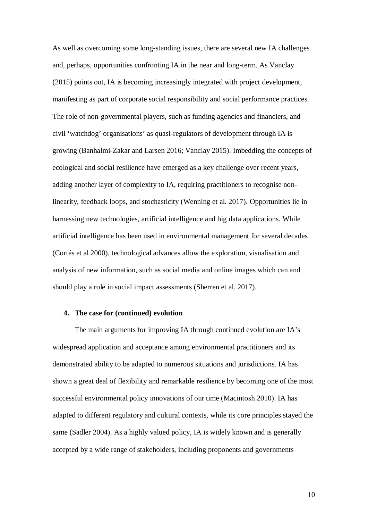As well as overcoming some long-standing issues, there are several new IA challenges and, perhaps, opportunities confronting IA in the near and long-term. As Vanclay (2015) points out, IA is becoming increasingly integrated with project development, manifesting as part of corporate social responsibility and social performance practices. The role of non-governmental players, such as funding agencies and financiers, and civil 'watchdog' organisations' as quasi-regulators of development through IA is growing (Banhalmi-Zakar and Larsen 2016; Vanclay 2015). Imbedding the concepts of ecological and social resilience have emerged as a key challenge over recent years, adding another layer of complexity to IA, requiring practitioners to recognise nonlinearity, feedback loops, and stochasticity (Wenning et al. 2017). Opportunities lie in harnessing new technologies, artificial intelligence and big data applications. While artificial intelligence has been used in environmental management for several decades (Cortés et al 2000), technological advances allow the exploration, visualisation and analysis of new information, such as social media and online images which can and should play a role in social impact assessments (Sherren et al. 2017).

## **4. The case for (continued) evolution**

The main arguments for improving IA through continued evolution are IA's widespread application and acceptance among environmental practitioners and its demonstrated ability to be adapted to numerous situations and jurisdictions. IA has shown a great deal of flexibility and remarkable resilience by becoming one of the most successful environmental policy innovations of our time (Macintosh 2010). IA has adapted to different regulatory and cultural contexts, while its core principles stayed the same (Sadler 2004). As a highly valued policy, IA is widely known and is generally accepted by a wide range of stakeholders, including proponents and governments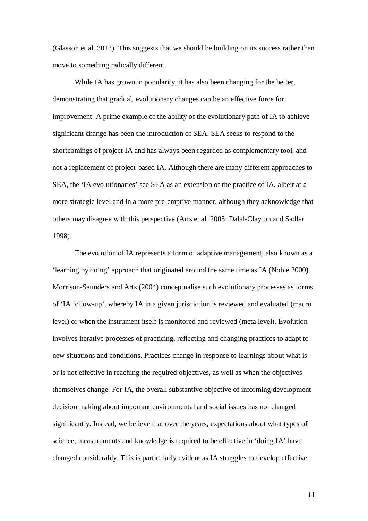(Glasson et al. 2012). This suggests that we should be building on its success rather than move to something radically different.

While IA has grown in popularity, it has also been changing for the better, demonstrating that gradual, evolutionary changes can be an effective force for improvement. A prime example of the ability of the evolutionary path of IA to achieve significant change has been the introduction of SEA. SEA seeks to respond to the shortcomings of project IA and has always been regarded as complementary tool, and not a replacement of project-based IA. Although there are many different approaches to SEA, the 'IA evolutionaries' see SEA as an extension of the practice of IA, albeit at a more strategic level and in a more pre-emptive manner, although they acknowledge that others may disagree with this perspective (Arts et al. 2005; Dalal-Clayton and Sadler 1998).

The evolution of IA represents a form of adaptive management, also known as a 'learning by doing' approach that originated around the same time as IA (Noble 2000). Morrison-Saunders and Arts (2004) conceptualise such evolutionary processes as forms of 'IA follow-up', whereby IA in a given jurisdiction is reviewed and evaluated (macro level) or when the instrument itself is monitored and reviewed (meta level). Evolution involves iterative processes of practicing, reflecting and changing practices to adapt to new situations and conditions. Practices change in response to learnings about what is or is not effective in reaching the required objectives, as well as when the objectives themselves change. For IA, the overall substantive objective of informing development decision making about important environmental and social issues has not changed significantly. Instead, we believe that over the years, expectations about what types of science, measurements and knowledge is required to be effective in 'doing IA' have changed considerably. This is particularly evident as IA struggles to develop effective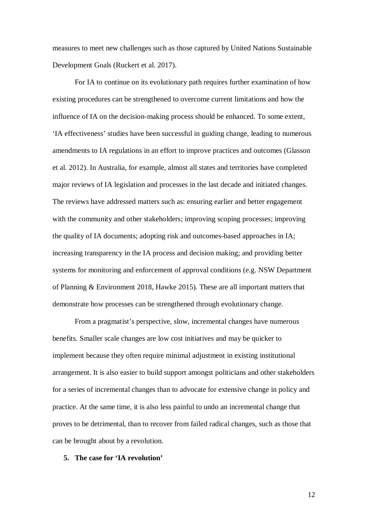measures to meet new challenges such as those captured by United Nations Sustainable Development Goals (Ruckert et al. 2017).

For IA to continue on its evolutionary path requires further examination of how existing procedures can be strengthened to overcome current limitations and how the influence of IA on the decision-making process should be enhanced. To some extent, 'IA effectiveness' studies have been successful in guiding change, leading to numerous amendments to IA regulations in an effort to improve practices and outcomes (Glasson et al. 2012). In Australia, for example, almost all states and territories have completed major reviews of IA legislation and processes in the last decade and initiated changes. The reviews have addressed matters such as: ensuring earlier and better engagement with the community and other stakeholders; improving scoping processes; improving the quality of IA documents; adopting risk and outcomes-based approaches in IA; increasing transparency in the IA process and decision making; and providing better systems for monitoring and enforcement of approval conditions (e.g. NSW Department of Planning & Environment 2018, Hawke 2015). These are all important matters that demonstrate how processes can be strengthened through evolutionary change.

From a pragmatist's perspective, slow, incremental changes have numerous benefits. Smaller scale changes are low cost initiatives and may be quicker to implement because they often require minimal adjustment in existing institutional arrangement. It is also easier to build support amongst politicians and other stakeholders for a series of incremental changes than to advocate for extensive change in policy and practice. At the same time, it is also less painful to undo an incremental change that proves to be detrimental, than to recover from failed radical changes, such as those that can be brought about by a revolution.

# **5. The case for 'IA revolution'**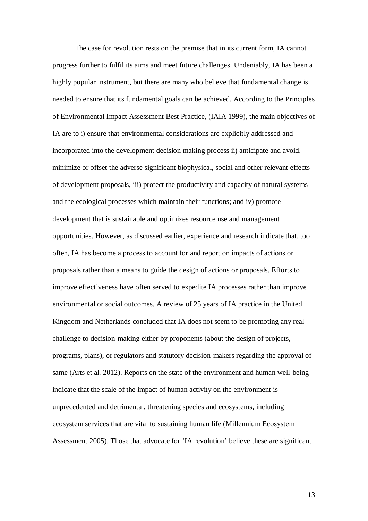The case for revolution rests on the premise that in its current form, IA cannot progress further to fulfil its aims and meet future challenges. Undeniably, IA has been a highly popular instrument, but there are many who believe that fundamental change is needed to ensure that its fundamental goals can be achieved. According to the Principles of Environmental Impact Assessment Best Practice, (IAIA 1999), the main objectives of IA are to i) ensure that environmental considerations are explicitly addressed and incorporated into the development decision making process ii) anticipate and avoid, minimize or offset the adverse significant biophysical, social and other relevant effects of development proposals, iii) protect the productivity and capacity of natural systems and the ecological processes which maintain their functions; and iv) promote development that is sustainable and optimizes resource use and management opportunities. However, as discussed earlier, experience and research indicate that, too often, IA has become a process to account for and report on impacts of actions or proposals rather than a means to guide the design of actions or proposals. Efforts to improve effectiveness have often served to expedite IA processes rather than improve environmental or social outcomes. A review of 25 years of IA practice in the United Kingdom and Netherlands concluded that IA does not seem to be promoting any real challenge to decision-making either by proponents (about the design of projects, programs, plans), or regulators and statutory decision-makers regarding the approval of same (Arts et al. 2012). Reports on the state of the environment and human well-being indicate that the scale of the impact of human activity on the environment is unprecedented and detrimental, threatening species and ecosystems, including ecosystem services that are vital to sustaining human life (Millennium Ecosystem Assessment 2005). Those that advocate for 'IA revolution' believe these are significant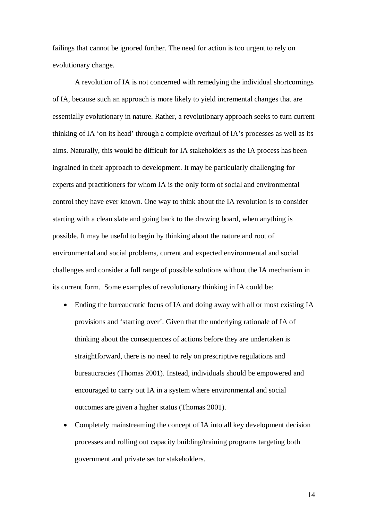failings that cannot be ignored further. The need for action is too urgent to rely on evolutionary change.

A revolution of IA is not concerned with remedying the individual shortcomings of IA, because such an approach is more likely to yield incremental changes that are essentially evolutionary in nature. Rather, a revolutionary approach seeks to turn current thinking of IA 'on its head' through a complete overhaul of IA's processes as well as its aims. Naturally, this would be difficult for IA stakeholders as the IA process has been ingrained in their approach to development. It may be particularly challenging for experts and practitioners for whom IA is the only form of social and environmental control they have ever known. One way to think about the IA revolution is to consider starting with a clean slate and going back to the drawing board, when anything is possible. It may be useful to begin by thinking about the nature and root of environmental and social problems, current and expected environmental and social challenges and consider a full range of possible solutions without the IA mechanism in its current form. Some examples of revolutionary thinking in IA could be:

- Ending the bureaucratic focus of IA and doing away with all or most existing IA provisions and 'starting over'. Given that the underlying rationale of IA of thinking about the consequences of actions before they are undertaken is straightforward, there is no need to rely on prescriptive regulations and bureaucracies (Thomas 2001). Instead, individuals should be empowered and encouraged to carry out IA in a system where environmental and social outcomes are given a higher status (Thomas 2001).
- Completely mainstreaming the concept of IA into all key development decision processes and rolling out capacity building/training programs targeting both government and private sector stakeholders.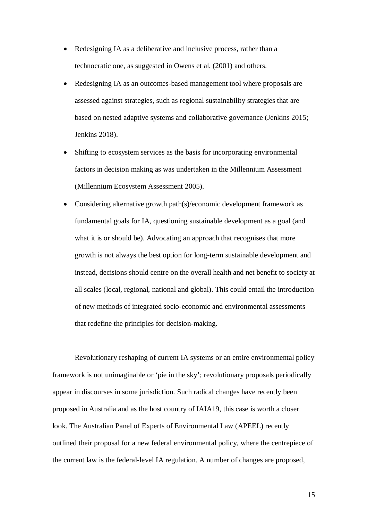- Redesigning IA as a deliberative and inclusive process, rather than a technocratic one, as suggested in Owens et al. (2001) and others.
- Redesigning IA as an outcomes-based management tool where proposals are assessed against strategies, such as regional sustainability strategies that are based on nested adaptive systems and collaborative governance (Jenkins 2015; Jenkins 2018).
- Shifting to ecosystem services as the basis for incorporating environmental factors in decision making as was undertaken in the Millennium Assessment (Millennium Ecosystem Assessment 2005).
- Considering alternative growth path(s)/economic development framework as fundamental goals for IA, questioning sustainable development as a goal (and what it is or should be). Advocating an approach that recognises that more growth is not always the best option for long-term sustainable development and instead, decisions should centre on the overall health and net benefit to society at all scales (local, regional, national and global). This could entail the introduction of new methods of integrated socio-economic and environmental assessments that redefine the principles for decision-making.

Revolutionary reshaping of current IA systems or an entire environmental policy framework is not unimaginable or 'pie in the sky'; revolutionary proposals periodically appear in discourses in some jurisdiction. Such radical changes have recently been proposed in Australia and as the host country of IAIA19, this case is worth a closer look. The Australian Panel of Experts of Environmental Law (APEEL) recently outlined their proposal for a new federal environmental policy, where the centrepiece of the current law is the federal-level IA regulation. A number of changes are proposed,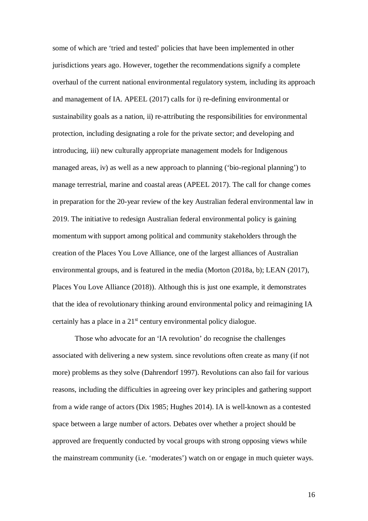some of which are 'tried and tested' policies that have been implemented in other jurisdictions years ago. However, together the recommendations signify a complete overhaul of the current national environmental regulatory system, including its approach and management of IA. APEEL (2017) calls for i) re-defining environmental or sustainability goals as a nation, ii) re-attributing the responsibilities for environmental protection, including designating a role for the private sector; and developing and introducing, iii) new culturally appropriate management models for Indigenous managed areas, iv) as well as a new approach to planning ('bio-regional planning') to manage terrestrial, marine and coastal areas (APEEL 2017). The call for change comes in preparation for the 20-year review of the key Australian federal environmental law in 2019. The initiative to redesign Australian federal environmental policy is gaining momentum with support among political and community stakeholders through the creation of the Places You Love Alliance, one of the largest alliances of Australian environmental groups, and is featured in the media (Morton (2018a, b); LEAN (2017), Places You Love Alliance (2018)). Although this is just one example, it demonstrates that the idea of revolutionary thinking around environmental policy and reimagining IA certainly has a place in a  $21<sup>st</sup>$  century environmental policy dialogue.

Those who advocate for an 'IA revolution' do recognise the challenges associated with delivering a new system. since revolutions often create as many (if not more) problems as they solve (Dahrendorf 1997). Revolutions can also fail for various reasons, including the difficulties in agreeing over key principles and gathering support from a wide range of actors (Dix 1985; Hughes 2014). IA is well-known as a contested space between a large number of actors. Debates over whether a project should be approved are frequently conducted by vocal groups with strong opposing views while the mainstream community (i.e. 'moderates') watch on or engage in much quieter ways.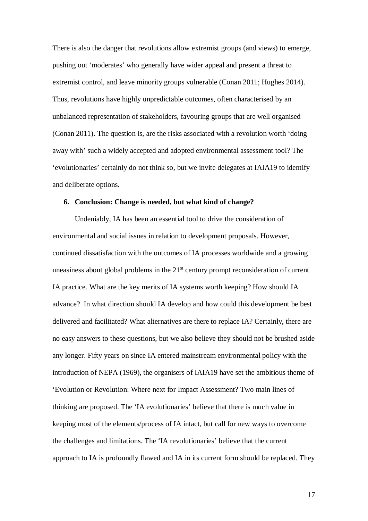There is also the danger that revolutions allow extremist groups (and views) to emerge, pushing out 'moderates' who generally have wider appeal and present a threat to extremist control, and leave minority groups vulnerable (Conan 2011; Hughes 2014). Thus, revolutions have highly unpredictable outcomes, often characterised by an unbalanced representation of stakeholders, favouring groups that are well organised (Conan 2011). The question is, are the risks associated with a revolution worth 'doing away with' such a widely accepted and adopted environmental assessment tool? The 'evolutionaries' certainly do not think so, but we invite delegates at IAIA19 to identify and deliberate options.

## **6. Conclusion: Change is needed, but what kind of change?**

Undeniably, IA has been an essential tool to drive the consideration of environmental and social issues in relation to development proposals. However, continued dissatisfaction with the outcomes of IA processes worldwide and a growing uneasiness about global problems in the  $21<sup>st</sup>$  century prompt reconsideration of current IA practice. What are the key merits of IA systems worth keeping? How should IA advance? In what direction should IA develop and how could this development be best delivered and facilitated? What alternatives are there to replace IA? Certainly, there are no easy answers to these questions, but we also believe they should not be brushed aside any longer. Fifty years on since IA entered mainstream environmental policy with the introduction of NEPA (1969), the organisers of IAIA19 have set the ambitious theme of 'Evolution or Revolution: Where next for Impact Assessment? Two main lines of thinking are proposed. The 'IA evolutionaries' believe that there is much value in keeping most of the elements/process of IA intact, but call for new ways to overcome the challenges and limitations. The 'IA revolutionaries' believe that the current approach to IA is profoundly flawed and IA in its current form should be replaced. They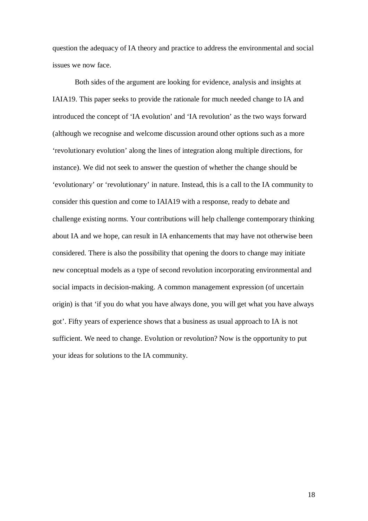question the adequacy of IA theory and practice to address the environmental and social issues we now face.

Both sides of the argument are looking for evidence, analysis and insights at IAIA19. This paper seeks to provide the rationale for much needed change to IA and introduced the concept of 'IA evolution' and 'IA revolution' as the two ways forward (although we recognise and welcome discussion around other options such as a more 'revolutionary evolution' along the lines of integration along multiple directions, for instance). We did not seek to answer the question of whether the change should be 'evolutionary' or 'revolutionary' in nature. Instead, this is a call to the IA community to consider this question and come to IAIA19 with a response, ready to debate and challenge existing norms. Your contributions will help challenge contemporary thinking about IA and we hope, can result in IA enhancements that may have not otherwise been considered. There is also the possibility that opening the doors to change may initiate new conceptual models as a type of second revolution incorporating environmental and social impacts in decision-making. A common management expression (of uncertain origin) is that 'if you do what you have always done, you will get what you have always got'. Fifty years of experience shows that a business as usual approach to IA is not sufficient. We need to change. Evolution or revolution? Now is the opportunity to put your ideas for solutions to the IA community.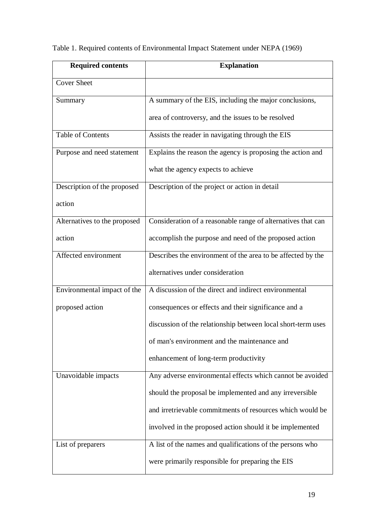| <b>Required contents</b>     | <b>Explanation</b>                                           |
|------------------------------|--------------------------------------------------------------|
| <b>Cover Sheet</b>           |                                                              |
| Summary                      | A summary of the EIS, including the major conclusions,       |
|                              | area of controversy, and the issues to be resolved           |
| <b>Table of Contents</b>     | Assists the reader in navigating through the EIS             |
| Purpose and need statement   | Explains the reason the agency is proposing the action and   |
|                              | what the agency expects to achieve                           |
| Description of the proposed  | Description of the project or action in detail               |
| action                       |                                                              |
| Alternatives to the proposed | Consideration of a reasonable range of alternatives that can |
| action                       | accomplish the purpose and need of the proposed action       |
| Affected environment         | Describes the environment of the area to be affected by the  |
|                              | alternatives under consideration                             |
| Environmental impact of the  | A discussion of the direct and indirect environmental        |
| proposed action              | consequences or effects and their significance and a         |
|                              | discussion of the relationship between local short-term uses |
|                              | of man's environment and the maintenance and                 |
|                              | enhancement of long-term productivity                        |
| Unavoidable impacts          | Any adverse environmental effects which cannot be avoided    |
|                              | should the proposal be implemented and any irreversible      |
|                              | and irretrievable commitments of resources which would be    |
|                              | involved in the proposed action should it be implemented     |
| List of preparers            | A list of the names and qualifications of the persons who    |
|                              | were primarily responsible for preparing the EIS             |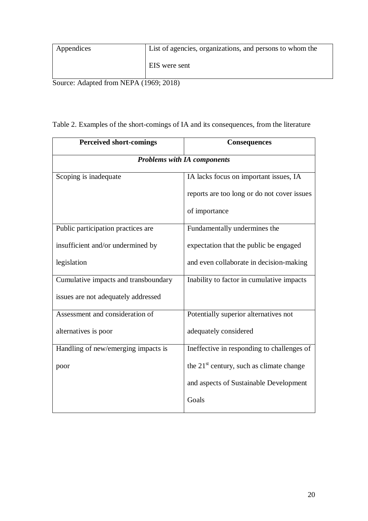| Appendices | List of agencies, organizations, and persons to whom the |
|------------|----------------------------------------------------------|
|            | EIS were sent                                            |

Source: Adapted from NEPA (1969; 2018)

|  |  | Table 2. Examples of the short-comings of IA and its consequences, from the literature |  |  |  |  |
|--|--|----------------------------------------------------------------------------------------|--|--|--|--|
|--|--|----------------------------------------------------------------------------------------|--|--|--|--|

| <b>Perceived short-comings</b>       | Consequences                                         |  |
|--------------------------------------|------------------------------------------------------|--|
| <b>Problems with IA components</b>   |                                                      |  |
| Scoping is inadequate                | IA lacks focus on important issues, IA               |  |
|                                      | reports are too long or do not cover issues          |  |
|                                      | of importance                                        |  |
| Public participation practices are   | Fundamentally undermines the                         |  |
| insufficient and/or undermined by    | expectation that the public be engaged               |  |
| legislation                          | and even collaborate in decision-making              |  |
| Cumulative impacts and transboundary | Inability to factor in cumulative impacts            |  |
| issues are not adequately addressed  |                                                      |  |
| Assessment and consideration of      | Potentially superior alternatives not                |  |
| alternatives is poor                 | adequately considered                                |  |
| Handling of new/emerging impacts is  | Ineffective in responding to challenges of           |  |
| poor                                 | the 21 <sup>st</sup> century, such as climate change |  |
|                                      | and aspects of Sustainable Development               |  |
|                                      | Goals                                                |  |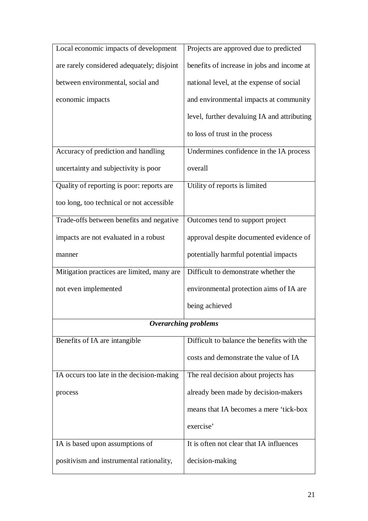| Local economic impacts of development      | Projects are approved due to predicted      |
|--------------------------------------------|---------------------------------------------|
| are rarely considered adequately; disjoint | benefits of increase in jobs and income at  |
| between environmental, social and          | national level, at the expense of social    |
| economic impacts                           | and environmental impacts at community      |
|                                            | level, further devaluing IA and attributing |
|                                            | to loss of trust in the process             |
| Accuracy of prediction and handling        | Undermines confidence in the IA process     |
| uncertainty and subjectivity is poor       | overall                                     |
| Quality of reporting is poor: reports are  | Utility of reports is limited               |
| too long, too technical or not accessible  |                                             |
| Trade-offs between benefits and negative   | Outcomes tend to support project            |
| impacts are not evaluated in a robust      | approval despite documented evidence of     |
| manner                                     | potentially harmful potential impacts       |
| Mitigation practices are limited, many are | Difficult to demonstrate whether the        |
| not even implemented                       | environmental protection aims of IA are     |
|                                            | being achieved                              |
|                                            | <b>Overarching problems</b>                 |
| Benefits of IA are intangible              | Difficult to balance the benefits with the  |
|                                            | costs and demonstrate the value of IA       |
| IA occurs too late in the decision-making  | The real decision about projects has        |
| process                                    | already been made by decision-makers        |
|                                            | means that IA becomes a mere 'tick-box      |
|                                            | exercise'                                   |
| IA is based upon assumptions of            | It is often not clear that IA influences    |
| positivism and instrumental rationality,   | decision-making                             |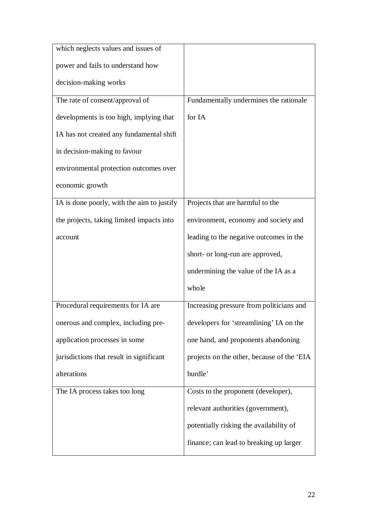| which neglects values and issues of        |                                            |
|--------------------------------------------|--------------------------------------------|
| power and fails to understand how          |                                            |
| decision-making works                      |                                            |
| The rate of consent/approval of            | Fundamentally undermines the rationale     |
| developments is too high, implying that    | for IA                                     |
| IA has not created any fundamental shift   |                                            |
| in decision-making to favour               |                                            |
| environmental protection outcomes over     |                                            |
| economic growth                            |                                            |
| IA is done poorly, with the aim to justify | Projects that are harmful to the           |
| the projects, taking limited impacts into  | environment, economy and society and       |
| account                                    | leading to the negative outcomes in the    |
|                                            | short- or long-run are approved,           |
|                                            | undermining the value of the IA as a       |
|                                            | whole                                      |
| Procedural requirements for IA are         | Increasing pressure from politicians and   |
| onerous and complex, including pre-        | developers for 'streamlining' IA on the    |
| application processes in some              | one hand, and proponents abandoning        |
| jurisdictions that result in significant   | projects on the other, because of the 'EIA |
| alterations                                | hurdle'                                    |
| The IA process takes too long              | Costs to the proponent (developer),        |
|                                            | relevant authorities (government),         |
|                                            | potentially risking the availability of    |
|                                            | finance; can lead to breaking up larger    |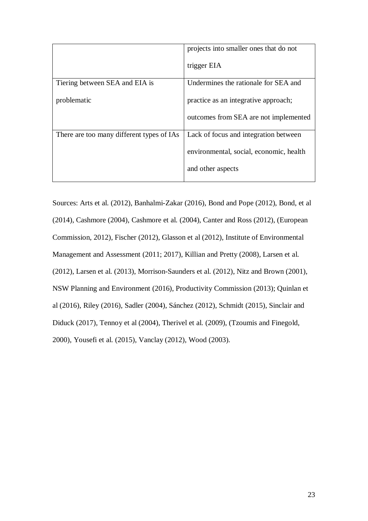|                                           | projects into smaller ones that do not  |
|-------------------------------------------|-----------------------------------------|
|                                           | trigger EIA                             |
| Tiering between SEA and EIA is            | Undermines the rationale for SEA and    |
| problematic                               | practice as an integrative approach;    |
|                                           | outcomes from SEA are not implemented   |
| There are too many different types of IAs | Lack of focus and integration between   |
|                                           | environmental, social, economic, health |
|                                           | and other aspects                       |
|                                           |                                         |

Sources: Arts et al. (2012), Banhalmi-Zakar (2016), Bond and Pope (2012), Bond, et al (2014), Cashmore (2004), Cashmore et al. (2004), Canter and Ross (2012), (European Commission, 2012), Fischer (2012), Glasson et al (2012), Institute of Environmental Management and Assessment (2011; 2017), Killian and Pretty (2008), Larsen et al. (2012), Larsen et al. (2013), Morrison-Saunders et al. (2012), Nitz and Brown (2001), NSW Planning and Environment (2016), Productivity Commission (2013); Quinlan et al (2016), Riley (2016), Sadler (2004), Sánchez (2012), Schmidt (2015), Sinclair and Diduck (2017), Tennoy et al (2004), Therivel et al. (2009), (Tzoumis and Finegold, 2000), Yousefi et al. (2015), Vanclay (2012), Wood (2003).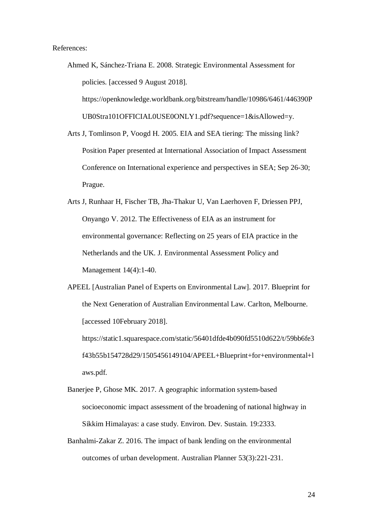References:

- Ahmed K, Sánchez-Triana E. 2008. Strategic Environmental Assessment for policies. [accessed 9 August 2018]. https://openknowledge.worldbank.org/bitstream/handle/10986/6461/446390P UB0Stra101OFFICIAL0USE0ONLY1.pdf?sequence=1&isAllowed=y. Arts J, Tomlinson P, Voogd H. 2005. EIA and SEA tiering: The missing link?
- Position Paper presented at International Association of Impact Assessment Conference on International experience and perspectives in SEA; Sep 26-30; Prague.
- Arts J, Runhaar H, Fischer TB, Jha-Thakur U, Van Laerhoven F, Driessen PPJ, Onyango V. 2012. The Effectiveness of EIA as an instrument for environmental governance: Reflecting on 25 years of EIA practice in the Netherlands and the UK. J. Environmental Assessment Policy and Management 14(4):1-40.
- APEEL [Australian Panel of Experts on Environmental Law]. 2017. Blueprint for the Next Generation of Australian Environmental Law. Carlton, Melbourne. [accessed 10February 2018]. https://static1.squarespace.com/static/56401dfde4b090fd5510d622/t/59bb6fe3

f43b55b154728d29/1505456149104/APEEL+Blueprint+for+environmental+l aws.pdf.

- Banerjee P, Ghose MK. 2017. A geographic information system-based socioeconomic impact assessment of the broadening of national highway in Sikkim Himalayas: a case study. Environ. Dev. Sustain. 19:2333.
- Banhalmi-Zakar Z. 2016. The impact of bank lending on the environmental outcomes of urban development. Australian Planner 53(3):221-231.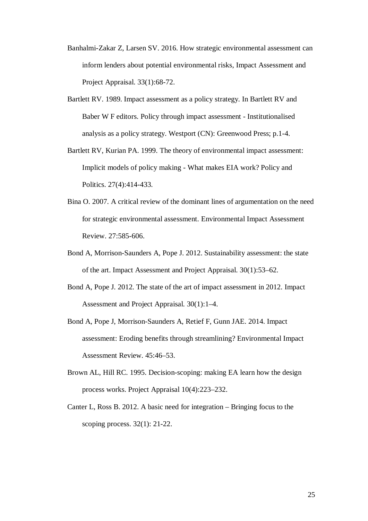- Banhalmi-Zakar Z, Larsen SV. 2016. How strategic environmental assessment can inform lenders about potential environmental risks, Impact Assessment and Project Appraisal. 33(1):68-72.
- Bartlett RV. 1989. Impact assessment as a policy strategy. In Bartlett RV and Baber W F editors. Policy through impact assessment - Institutionalised analysis as a policy strategy. Westport (CN): Greenwood Press; p.1-4.
- Bartlett RV, Kurian PA. 1999. The theory of environmental impact assessment: Implicit models of policy making - What makes EIA work? Policy and Politics. 27(4):414-433.
- Bina O. 2007. A critical review of the dominant lines of argumentation on the need for strategic environmental assessment. Environmental Impact Assessment Review. 27:585-606.
- Bond A, Morrison-Saunders A, Pope J. 2012. Sustainability assessment: the state of the art. Impact Assessment and Project Appraisal. 30(1):53–62.
- Bond A, Pope J. 2012. The state of the art of impact assessment in 2012. Impact Assessment and Project Appraisal. 30(1):1–4.
- Bond A, Pope J, Morrison-Saunders A, Retief F, Gunn JAE. 2014. Impact assessment: Eroding benefits through streamlining? Environmental Impact Assessment Review. 45:46–53.
- Brown AL, Hill RC. 1995. Decision-scoping: making EA learn how the design process works. Project Appraisal 10(4):223–232.
- Canter L, Ross B. 2012. A basic need for integration Bringing focus to the scoping process. 32(1): 21-22.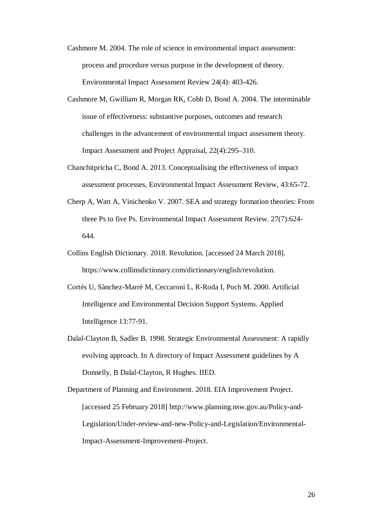- Cashmore M. 2004. The role of science in environmental impact assessment: process and procedure versus purpose in the development of theory. Environmental Impact Assessment Review 24(4): 403-426.
- Cashmore M, Gwilliam R, Morgan RK, Cobb D, Bond A. 2004. The interminable issue of effectiveness: substantive purposes, outcomes and research challenges in the advancement of environmental impact assessment theory. Impact Assessment and Project Appraisal, 22(4):295–310.
- Chanchitpricha C, Bond A. 2013. Conceptualising the effectiveness of impact assessment processes, Environmental Impact Assessment Review, 43:65-72.
- Cherp A, Watt A, Vinichenko V. 2007. SEA and strategy formation theories: From three Ps to five Ps. Environmental Impact Assessment Review. 27(7):624- 644.
- Collins English Dictionary. 2018. Revolution. [accessed 24 March 2018]. https://www.collinsdictionary.com/dictionary/english/revolution.
- Cortés U, Sànchez-Marrè M, Ceccaroni L, R-Roda I, Poch M. 2000. Artificial Intelligence and Environmental Decision Support Systems. Applied Intelligence 13:77-91.
- Dalal-Clayton B, Sadler B. 1998. Strategic Environmental Assessment: A rapidly evolving approach. In A directory of Impact Assessment guidelines by A Donnelly, B Dalal-Clayton, R Hughes. IIED.

Department of Planning and Environment. 2018. EIA Improvement Project. [accessed 25 February 2018] http://www.planning.nsw.gov.au/Policy-and-Legislation/Under-review-and-new-Policy-and-Legislation/Environmental-Impact-Assessment-Improvement-Project.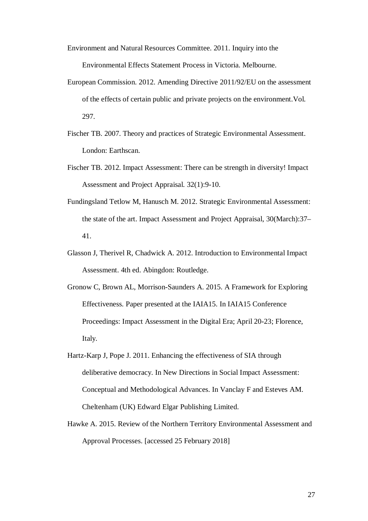Environment and Natural Resources Committee. 2011. Inquiry into the Environmental Effects Statement Process in Victoria. Melbourne.

- European Commission. 2012. Amending Directive 2011/92/EU on the assessment of the effects of certain public and private projects on the environment.Vol. 297.
- Fischer TB. 2007. Theory and practices of Strategic Environmental Assessment. London: Earthscan.
- Fischer TB. 2012. Impact Assessment: There can be strength in diversity! Impact Assessment and Project Appraisal. 32(1):9-10.
- Fundingsland Tetlow M, Hanusch M. 2012. Strategic Environmental Assessment: the state of the art. Impact Assessment and Project Appraisal, 30(March):37– 41.
- Glasson J, Therivel R, Chadwick A. 2012. Introduction to Environmental Impact Assessment. 4th ed. Abingdon: Routledge.
- Gronow C, Brown AL, Morrison-Saunders A. 2015. A Framework for Exploring Effectiveness. Paper presented at the IAIA15. In IAIA15 Conference Proceedings: Impact Assessment in the Digital Era; April 20-23; Florence, Italy.
- Hartz-Karp J, Pope J. 2011. Enhancing the effectiveness of SIA through deliberative democracy. In New Directions in Social Impact Assessment: Conceptual and Methodological Advances. In Vanclay F and Esteves AM. Cheltenham (UK) Edward Elgar Publishing Limited.
- Hawke A. 2015. Review of the Northern Territory Environmental Assessment and Approval Processes. [accessed 25 February 2018]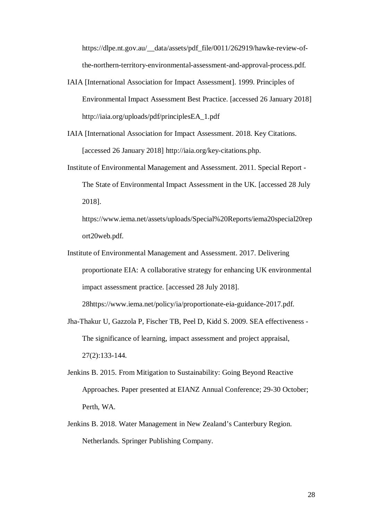https://dlpe.nt.gov.au/\_\_data/assets/pdf\_file/0011/262919/hawke-review-ofthe-northern-territory-environmental-assessment-and-approval-process.pdf.

- IAIA [International Association for Impact Assessment]. 1999. Principles of Environmental Impact Assessment Best Practice. [accessed 26 January 2018] http://iaia.org/uploads/pdf/principlesEA\_1.pdf
- IAIA [International Association for Impact Assessment. 2018. Key Citations. [accessed 26 January 2018] http://iaia.org/key-citations.php.
- Institute of Environmental Management and Assessment. 2011. Special Report The State of Environmental Impact Assessment in the UK. [accessed 28 July 2018].

https://www.iema.net/assets/uploads/Special%20Reports/iema20special20rep ort20web.pdf.

Institute of Environmental Management and Assessment. 2017. Delivering proportionate EIA: A collaborative strategy for enhancing UK environmental impact assessment practice. [accessed 28 July 2018].

28https://www.iema.net/policy/ia/proportionate-eia-guidance-2017.pdf.

- Jha-Thakur U, Gazzola P, Fischer TB, Peel D, Kidd S. 2009. SEA effectiveness The significance of learning, impact assessment and project appraisal, 27(2):133-144.
- Jenkins B. 2015. From Mitigation to Sustainability: Going Beyond Reactive Approaches. Paper presented at EIANZ Annual Conference; 29-30 October; Perth, WA.
- Jenkins B. 2018. Water Management in New Zealand's Canterbury Region. Netherlands. Springer Publishing Company.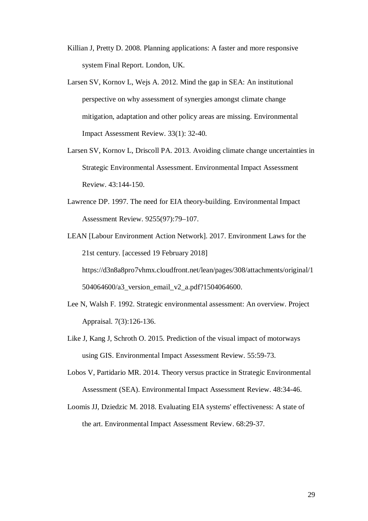- Killian J, Pretty D. 2008. Planning applications: A faster and more responsive system Final Report. London, UK.
- Larsen SV, Kornov L, Wejs A. 2012. Mind the gap in SEA: An institutional perspective on why assessment of synergies amongst climate change mitigation, adaptation and other policy areas are missing. Environmental Impact Assessment Review. 33(1): 32-40.
- Larsen SV, Kornov L, Driscoll PA. 2013. Avoiding climate change uncertainties in Strategic Environmental Assessment. Environmental Impact Assessment Review. 43:144-150.
- Lawrence DP. 1997. The need for EIA theory-building. Environmental Impact Assessment Review. 9255(97):79–107.
- LEAN [Labour Environment Action Network]. 2017. Environment Laws for the 21st century. [accessed 19 February 2018] https://d3n8a8pro7vhmx.cloudfront.net/lean/pages/308/attachments/original/1 504064600/a3\_version\_email\_v2\_a.pdf?1504064600.
- Lee N, Walsh F. 1992. Strategic environmental assessment: An overview. Project Appraisal. 7(3):126-136.
- Like J, Kang J, Schroth O. 2015. Prediction of the visual impact of motorways using GIS. Environmental Impact Assessment Review. 55:59-73.
- Lobos V, Partidario MR. 2014. Theory versus practice in Strategic Environmental Assessment (SEA). Environmental Impact Assessment Review. 48:34-46.
- Loomis JJ, Dziedzic M. 2018. Evaluating EIA systems' effectiveness: A state of the art. Environmental Impact Assessment Review. 68:29-37.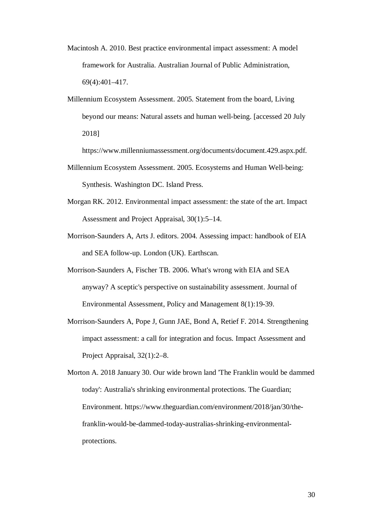- Macintosh A. 2010. Best practice environmental impact assessment: A model framework for Australia. Australian Journal of Public Administration, 69(4):401–417.
- Millennium Ecosystem Assessment. 2005. Statement from the board, Living beyond our means: Natural assets and human well-being. [accessed 20 July 2018]

https://www.millenniumassessment.org/documents/document.429.aspx.pdf.

- Millennium Ecosystem Assessment. 2005. Ecosystems and Human Well-being: Synthesis. Washington DC. Island Press.
- Morgan RK. 2012. Environmental impact assessment: the state of the art. Impact Assessment and Project Appraisal, 30(1):5–14.
- Morrison-Saunders A, Arts J. editors. 2004. Assessing impact: handbook of EIA and SEA follow-up. London (UK). Earthscan.
- Morrison-Saunders A, Fischer TB. 2006. What's wrong with EIA and SEA anyway? A sceptic's perspective on sustainability assessment. Journal of Environmental Assessment, Policy and Management 8(1):19-39.
- Morrison-Saunders A, Pope J, Gunn JAE, Bond A, Retief F. 2014. Strengthening impact assessment: a call for integration and focus. Impact Assessment and Project Appraisal, 32(1):2–8.

Morton A. 2018 January 30. Our wide brown land 'The Franklin would be dammed today': Australia's shrinking environmental protections. The Guardian; Environment. https://www.theguardian.com/environment/2018/jan/30/thefranklin-would-be-dammed-today-australias-shrinking-environmentalprotections.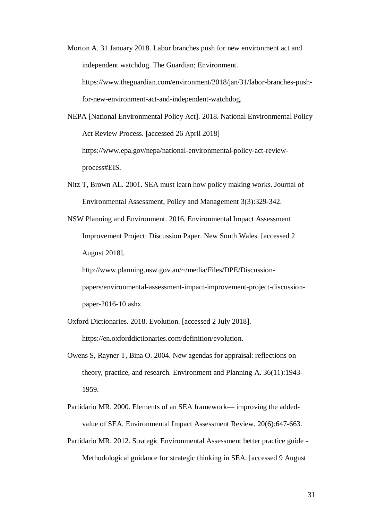Morton A. 31 January 2018. Labor branches push for new environment act and independent watchdog. The Guardian; Environment. https://www.theguardian.com/environment/2018/jan/31/labor-branches-pushfor-new-environment-act-and-independent-watchdog.

NEPA [National Environmental Policy Act]. 2018. National Environmental Policy Act Review Process. [accessed 26 April 2018] https://www.epa.gov/nepa/national-environmental-policy-act-reviewprocess#EIS.

Nitz T, Brown AL. 2001. SEA must learn how policy making works. Journal of Environmental Assessment, Policy and Management 3(3):329-342.

NSW Planning and Environment. 2016. Environmental Impact Assessment Improvement Project: Discussion Paper. New South Wales. [accessed 2 August 2018]. http://www.planning.nsw.gov.au/~/media/Files/DPE/Discussion-

papers/environmental-assessment-impact-improvement-project-discussionpaper-2016-10.ashx.

- Oxford Dictionaries. 2018. Evolution. [accessed 2 July 2018]. https://en.oxforddictionaries.com/definition/evolution.
- Owens S, Rayner T, Bina O. 2004. New agendas for appraisal: reflections on theory, practice, and research. Environment and Planning A. 36(11):1943– 1959.
- Partidario MR. 2000. Elements of an SEA framework— improving the addedvalue of SEA. Environmental Impact Assessment Review. 20(6):647-663.
- Partidario MR. 2012. Strategic Environmental Assessment better practice guide Methodological guidance for strategic thinking in SEA. [accessed 9 August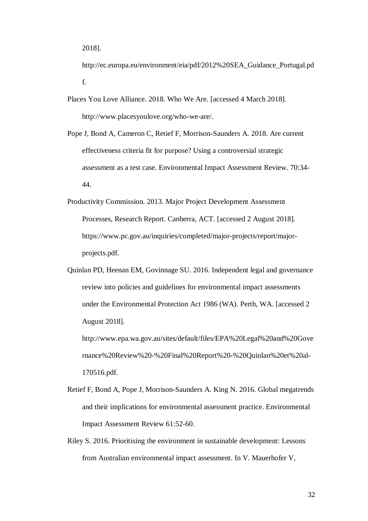http://ec.europa.eu/environment/eia/pdf/2012%20SEA\_Guidance\_Portugal.pd f.

- Places You Love Alliance. 2018. Who We Are. [accessed 4 March 2018]. http://www.placesyoulove.org/who-we-are/.
- Pope J, Bond A, Cameron C, Retief F, Morrison-Saunders A. 2018. Are current effectiveness criteria fit for purpose? Using a controversial strategic assessment as a test case. Environmental Impact Assessment Review. 70:34- 44.
- Productivity Commission. 2013. Major Project Development Assessment Processes, Research Report. Canberra, ACT. [accessed 2 August 2018]. https://www.pc.gov.au/inquiries/completed/major-projects/report/majorprojects.pdf.
- Quinlan PD, Heenan EM, Govinnage SU. 2016. Independent legal and governance review into policies and guidelines for environmental impact assessments under the Environmental Protection Act 1986 (WA). Perth, WA. [accessed 2 August 2018].

http://www.epa.wa.gov.au/sites/default/files/EPA%20Legal%20and%20Gove rnance%20Review%20-%20Final%20Report%20-%20Quinlan%20et%20al-170516.pdf.

- Retief F, Bond A, Pope J, Morrison-Saunders A. King N. 2016. Global megatrends and their implications for environmental assessment practice. Environmental Impact Assessment Review 61:52-60.
- Riley S. 2016. Prioritising the environment in sustainable development: Lessons from Australian environmental impact assessment. In V. Mauerhofer V,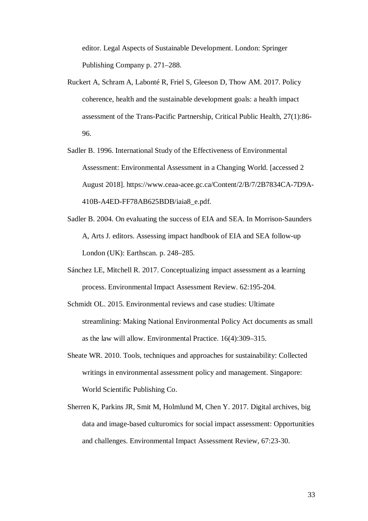editor. Legal Aspects of Sustainable Development. London: Springer Publishing Company p. 271–288.

- Ruckert A, Schram A, Labonté R, Friel S, Gleeson D, Thow AM. 2017. Policy coherence, health and the sustainable development goals: a health impact assessment of the Trans-Pacific Partnership, Critical Public Health, 27(1):86- 96.
- Sadler B. 1996. International Study of the Effectiveness of Environmental Assessment: Environmental Assessment in a Changing World. [accessed 2 August 2018]. https://www.ceaa-acee.gc.ca/Content/2/B/7/2B7834CA-7D9A-410B-A4ED-FF78AB625BDB/iaia8\_e.pdf.
- Sadler B. 2004. On evaluating the success of EIA and SEA. In Morrison-Saunders A, Arts J. editors. Assessing impact handbook of EIA and SEA follow-up London (UK): Earthscan. p. 248–285.
- Sánchez LE, Mitchell R. 2017. Conceptualizing impact assessment as a learning process. Environmental Impact Assessment Review. 62:195-204.
- Schmidt OL. 2015. Environmental reviews and case studies: Ultimate streamlining: Making National Environmental Policy Act documents as small as the law will allow. Environmental Practice. 16(4):309–315.
- Sheate WR. 2010. Tools, techniques and approaches for sustainability: Collected writings in environmental assessment policy and management. Singapore: World Scientific Publishing Co.
- Sherren K, Parkins JR, Smit M, Holmlund M, Chen Y. 2017. Digital archives, big data and image-based culturomics for social impact assessment: Opportunities and challenges. Environmental Impact Assessment Review, 67:23-30.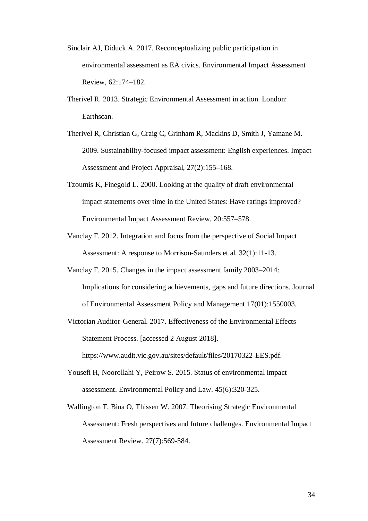- Sinclair AJ, Diduck A. 2017. Reconceptualizing public participation in environmental assessment as EA civics. Environmental Impact Assessment Review, 62:174–182.
- Therivel R. 2013. Strategic Environmental Assessment in action. London: Earthscan.
- Therivel R, Christian G, Craig C, Grinham R, Mackins D, Smith J, Yamane M. 2009. Sustainability-focused impact assessment: English experiences. Impact Assessment and Project Appraisal, 27(2):155–168.
- Tzoumis K, Finegold L. 2000. Looking at the quality of draft environmental impact statements over time in the United States: Have ratings improved? Environmental Impact Assessment Review, 20:557–578.
- Vanclay F. 2012. Integration and focus from the perspective of Social Impact Assessment: A response to Morrison-Saunders et al. 32(1):11-13.
- Vanclay F. 2015. Changes in the impact assessment family 2003–2014: Implications for considering achievements, gaps and future directions. Journal of Environmental Assessment Policy and Management 17(01):1550003.
- Victorian Auditor-General. 2017. Effectiveness of the Environmental Effects Statement Process. [accessed 2 August 2018].

https://www.audit.vic.gov.au/sites/default/files/20170322-EES.pdf.

- Yousefi H, Noorollahi Y, Peirow S. 2015. Status of environmental impact assessment. Environmental Policy and Law. 45(6):320-325.
- Wallington T, Bina O, Thissen W. 2007. Theorising Strategic Environmental Assessment: Fresh perspectives and future challenges. Environmental Impact Assessment Review. 27(7):569-584.